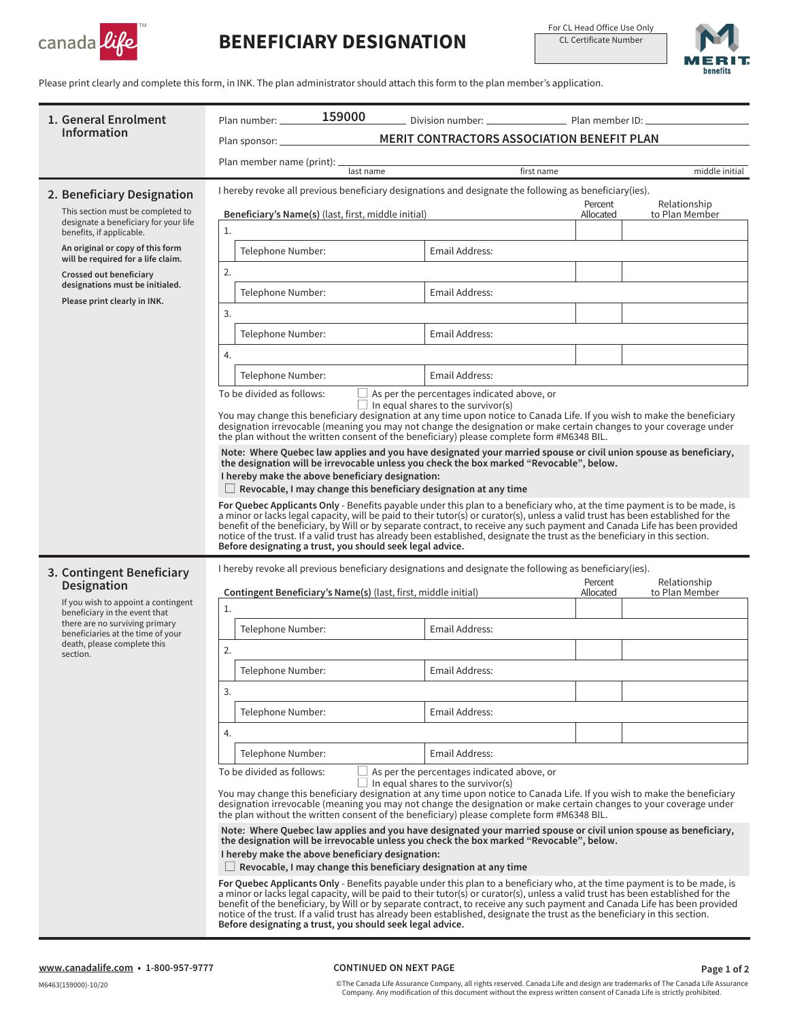

## **BENEFICIARY DESIGNATION**

For CL Head Office Use Only CL Certificate Number



Please print clearly and complete this form, in INK. The plan administrator should attach this form to the plan member's application.

| 1. General Enrolment<br><b>Information</b>                                                                                                                                             | 159000<br>Plan number: _______                                                                                                                                                                                                                                                                                                                                                                                                                                                                                                                                                          |                                                                                                         |                                                                                                         |                      |                                |  |
|----------------------------------------------------------------------------------------------------------------------------------------------------------------------------------------|-----------------------------------------------------------------------------------------------------------------------------------------------------------------------------------------------------------------------------------------------------------------------------------------------------------------------------------------------------------------------------------------------------------------------------------------------------------------------------------------------------------------------------------------------------------------------------------------|---------------------------------------------------------------------------------------------------------|---------------------------------------------------------------------------------------------------------|----------------------|--------------------------------|--|
|                                                                                                                                                                                        | MERIT CONTRACTORS ASSOCIATION BENEFIT PLAN                                                                                                                                                                                                                                                                                                                                                                                                                                                                                                                                              |                                                                                                         |                                                                                                         |                      |                                |  |
|                                                                                                                                                                                        | Plan member name (print): _                                                                                                                                                                                                                                                                                                                                                                                                                                                                                                                                                             | last name                                                                                               |                                                                                                         | first name           | middle initial                 |  |
| 2. Beneficiary Designation                                                                                                                                                             |                                                                                                                                                                                                                                                                                                                                                                                                                                                                                                                                                                                         |                                                                                                         | I hereby revoke all previous beneficiary designations and designate the following as beneficiary (ies). |                      |                                |  |
| This section must be completed to                                                                                                                                                      | Beneficiary's Name(s) (last, first, middle initial)                                                                                                                                                                                                                                                                                                                                                                                                                                                                                                                                     |                                                                                                         |                                                                                                         | Percent<br>Allocated | Relationship<br>to Plan Member |  |
| designate a beneficiary for your life<br>benefits, if applicable.                                                                                                                      | 1.                                                                                                                                                                                                                                                                                                                                                                                                                                                                                                                                                                                      |                                                                                                         |                                                                                                         |                      |                                |  |
| An original or copy of this form<br>will be required for a life claim.                                                                                                                 | Telephone Number:                                                                                                                                                                                                                                                                                                                                                                                                                                                                                                                                                                       |                                                                                                         | Email Address:                                                                                          |                      |                                |  |
| Crossed out beneficiary<br>designations must be initialed.                                                                                                                             | 2.                                                                                                                                                                                                                                                                                                                                                                                                                                                                                                                                                                                      |                                                                                                         |                                                                                                         |                      |                                |  |
| Please print clearly in INK.                                                                                                                                                           |                                                                                                                                                                                                                                                                                                                                                                                                                                                                                                                                                                                         | Telephone Number:<br>Email Address:                                                                     |                                                                                                         |                      |                                |  |
|                                                                                                                                                                                        | 3.                                                                                                                                                                                                                                                                                                                                                                                                                                                                                                                                                                                      |                                                                                                         |                                                                                                         |                      |                                |  |
|                                                                                                                                                                                        | Telephone Number:                                                                                                                                                                                                                                                                                                                                                                                                                                                                                                                                                                       |                                                                                                         | Email Address:                                                                                          |                      |                                |  |
|                                                                                                                                                                                        | 4.                                                                                                                                                                                                                                                                                                                                                                                                                                                                                                                                                                                      |                                                                                                         |                                                                                                         |                      |                                |  |
|                                                                                                                                                                                        | Telephone Number:                                                                                                                                                                                                                                                                                                                                                                                                                                                                                                                                                                       |                                                                                                         | Email Address:                                                                                          |                      |                                |  |
|                                                                                                                                                                                        | To be divided as follows:<br>$\Box$ As per the percentages indicated above, or<br>$\Box$ In equal shares to the survivor(s)<br>You may change this beneficiary designation at any time upon notice to Canada Life. If you wish to make the beneficiary<br>designation irrevocable (meaning you may not change the designation or make certain changes to your coverage under<br>the plan without the written consent of the beneficiary) please complete form #M6348 BIL.                                                                                                               |                                                                                                         |                                                                                                         |                      |                                |  |
|                                                                                                                                                                                        | Note: Where Quebec law applies and you have designated your married spouse or civil union spouse as beneficiary,<br>the designation will be irrevocable unless you check the box marked "Revocable", below.<br>I hereby make the above beneficiary designation:<br>$\Box$ Revocable, I may change this beneficiary designation at any time                                                                                                                                                                                                                                              |                                                                                                         |                                                                                                         |                      |                                |  |
|                                                                                                                                                                                        | For Quebec Applicants Only - Benefits payable under this plan to a beneficiary who, at the time payment is to be made, is<br>a minor or lacks legal capacity, will be paid to their tutor(s) or curator(s), unless a valid trust has been established for the<br>benefit of the beneficiary, by Will or by separate contract, to receive any such payment and Canada Life has been provided<br>notice of the trust. If a valid trust has already been established, designate the trust as the beneficiary in this section.<br>Before designating a trust, you should seek legal advice. |                                                                                                         |                                                                                                         |                      |                                |  |
| 3. Contingent Beneficiary                                                                                                                                                              |                                                                                                                                                                                                                                                                                                                                                                                                                                                                                                                                                                                         | I hereby revoke all previous beneficiary designations and designate the following as beneficiary (ies). |                                                                                                         |                      |                                |  |
| Designation                                                                                                                                                                            | Contingent Beneficiary's Name(s) (last, first, middle initial)                                                                                                                                                                                                                                                                                                                                                                                                                                                                                                                          |                                                                                                         |                                                                                                         | Percent<br>Allocated | Relationship<br>to Plan Member |  |
| If you wish to appoint a contingent<br>beneficiary in the event that<br>there are no surviving primary<br>beneficiaries at the time of your<br>death, please complete this<br>section. | 1.                                                                                                                                                                                                                                                                                                                                                                                                                                                                                                                                                                                      |                                                                                                         |                                                                                                         |                      |                                |  |
|                                                                                                                                                                                        | Telephone Number:                                                                                                                                                                                                                                                                                                                                                                                                                                                                                                                                                                       |                                                                                                         | Email Address:                                                                                          |                      |                                |  |
|                                                                                                                                                                                        | 2.                                                                                                                                                                                                                                                                                                                                                                                                                                                                                                                                                                                      |                                                                                                         |                                                                                                         |                      |                                |  |
|                                                                                                                                                                                        | Telephone Number:                                                                                                                                                                                                                                                                                                                                                                                                                                                                                                                                                                       |                                                                                                         | Email Address:                                                                                          |                      |                                |  |
|                                                                                                                                                                                        | 3.                                                                                                                                                                                                                                                                                                                                                                                                                                                                                                                                                                                      |                                                                                                         |                                                                                                         |                      |                                |  |
|                                                                                                                                                                                        | Telephone Number:                                                                                                                                                                                                                                                                                                                                                                                                                                                                                                                                                                       |                                                                                                         | Email Address:                                                                                          |                      |                                |  |
|                                                                                                                                                                                        | 4.                                                                                                                                                                                                                                                                                                                                                                                                                                                                                                                                                                                      |                                                                                                         |                                                                                                         |                      |                                |  |
|                                                                                                                                                                                        | Telephone Number:                                                                                                                                                                                                                                                                                                                                                                                                                                                                                                                                                                       |                                                                                                         | Email Address:                                                                                          |                      |                                |  |
|                                                                                                                                                                                        | To be divided as follows:<br>As per the percentages indicated above, or<br>$\Box$ In equal shares to the survivor(s)<br>You may change this beneficiary designation at any time upon notice to Canada Life. If you wish to make the beneficiary<br>designation irrevocable (meaning you may not change the designation or make certain changes to your coverage under<br>the plan without the written consent of the beneficiary) please complete form #M6348 BIL.                                                                                                                      |                                                                                                         |                                                                                                         |                      |                                |  |
|                                                                                                                                                                                        | Note: Where Quebec law applies and you have designated your married spouse or civil union spouse as beneficiary,<br>the designation will be irrevocable unless you check the box marked "Revocable", below.<br>I hereby make the above beneficiary designation:<br>$\Box$ Revocable, I may change this beneficiary designation at any time                                                                                                                                                                                                                                              |                                                                                                         |                                                                                                         |                      |                                |  |
|                                                                                                                                                                                        | For Quebec Applicants Only - Benefits payable under this plan to a beneficiary who, at the time payment is to be made, is<br>a minor or lacks legal capacity, will be paid to their tutor(s) or curator(s), unless a valid trust has been established for the<br>benefit of the beneficiary, by Will or by separate contract, to receive any such payment and Canada Life has been provided<br>notice of the trust. If a valid trust has already been established, designate the trust as the beneficiary in this section.<br>Before designating a trust, you should seek legal advice. |                                                                                                         |                                                                                                         |                      |                                |  |

## **CONTINUED ON NEXT PAGE**